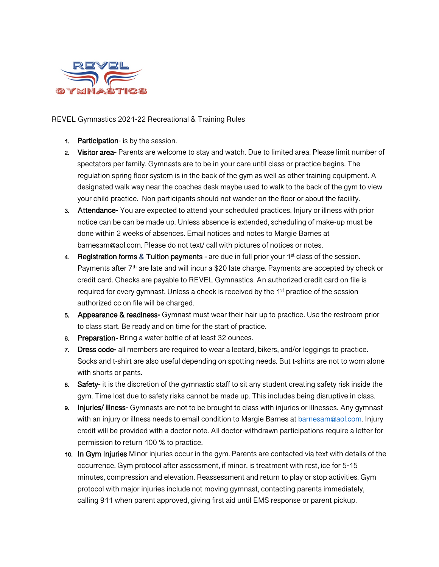

REVEL Gymnastics 2021-22 Recreational & Training Rules

- 1. Participation- is by the session.
- 2. Visitor area- Parents are welcome to stay and watch. Due to limited area. Please limit number of spectators per family. Gymnasts are to be in your care until class or practice begins. The regulation spring floor system is in the back of the gym as well as other training equipment. A designated walk way near the coaches desk maybe used to walk to the back of the gym to view your child practice. Non participants should not wander on the floor or about the facility.
- 3. Attendance- You are expected to attend your scheduled practices. Injury or illness with prior notice can be can be made up. Unless absence is extended, scheduling of make-up must be done within 2 weeks of absences. Email notices and notes to Margie Barnes at barnesam@aol.com. Please do not text/ call with pictures of notices or notes.
- 4. Registration forms & Tuition payments are due in full prior your  $1<sup>st</sup>$  class of the session. Payments after 7<sup>th</sup> are late and will incur a \$20 late charge. Payments are accepted by check or credit card. Checks are payable to REVEL Gymnastics. An authorized credit card on file is required for every gymnast. Unless a check is received by the 1<sup>st</sup> practice of the session authorized cc on file will be charged.
- 5. Appearance & readiness- Gymnast must wear their hair up to practice. Use the restroom prior to class start. Be ready and on time for the start of practice.
- 6. Preparation- Bring a water bottle of at least 32 ounces.
- 7. Dress code- all members are required to wear a leotard, bikers, and/or leggings to practice. Socks and t-shirt are also useful depending on spotting needs. But t-shirts are not to worn alone with shorts or pants.
- 8. Safety- it is the discretion of the gymnastic staff to sit any student creating safety risk inside the gym. Time lost due to safety risks cannot be made up. This includes being disruptive in class.
- 9. Injuries/ illness- Gymnasts are not to be brought to class with injuries or illnesses. Any gymnast with an injury or illness needs to email condition to Margie Barnes at barnesam@aol.com. Injury credit will be provided with a doctor note. All doctor-withdrawn participations require a letter for permission to return 100 % to practice.
- 10. In Gym Injuries Minor injuries occur in the gym. Parents are contacted via text with details of the occurrence. Gym protocol after assessment, if minor, is treatment with rest, ice for 5-15 minutes, compression and elevation. Reassessment and return to play or stop activities. Gym protocol with major injuries include not moving gymnast, contacting parents immediately, calling 911 when parent approved, giving first aid until EMS response or parent pickup.